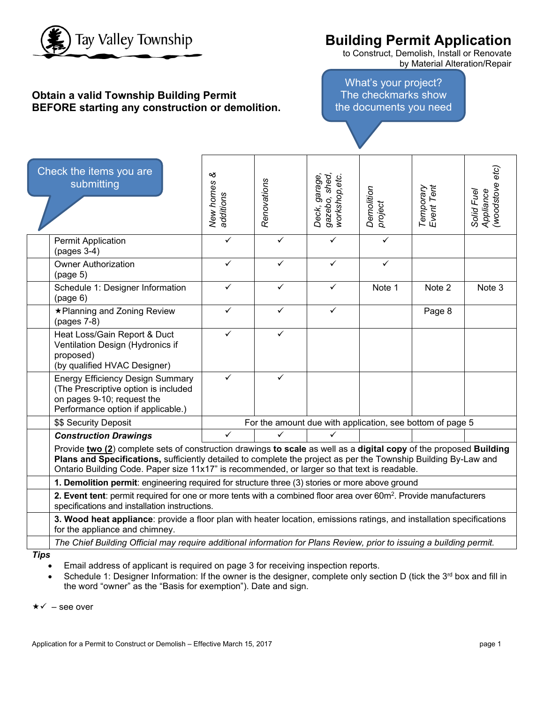

# **Building Permit Application**

to Construct, Demolish, Install or Renovate by Material Alteration/Repair

### **Obtain a valid Township Building Permit BEFORE starting any construction or demolition.**

What's your project? The checkmarks show the documents you need

| Check the items you are<br>submitting                                                                                                                                                                                                                                                                                                 | ళ<br>New homes<br>additions | Renovations                                               | gazebo, shed,<br>workshop,etc.<br>Deck, garage, | Demolition<br>project | Temporary<br>Event Tent | Appliance<br>(woodstove etc)<br>Solid Fuel |  |  |
|---------------------------------------------------------------------------------------------------------------------------------------------------------------------------------------------------------------------------------------------------------------------------------------------------------------------------------------|-----------------------------|-----------------------------------------------------------|-------------------------------------------------|-----------------------|-------------------------|--------------------------------------------|--|--|
| <b>Permit Application</b><br>(pages 3-4)                                                                                                                                                                                                                                                                                              | $\checkmark$                | $\checkmark$                                              | $\checkmark$                                    | $\checkmark$          |                         |                                            |  |  |
| <b>Owner Authorization</b><br>(page 5)                                                                                                                                                                                                                                                                                                | ✓                           | ✓                                                         | $\checkmark$                                    | ✓                     |                         |                                            |  |  |
| Schedule 1: Designer Information<br>(page 6)                                                                                                                                                                                                                                                                                          | $\checkmark$                | ✓                                                         | $\checkmark$                                    | Note 1                | Note 2                  | Note 3                                     |  |  |
| ★ Planning and Zoning Review<br>(pages 7-8)                                                                                                                                                                                                                                                                                           | ✓                           | ✓                                                         | $\checkmark$                                    |                       | Page 8                  |                                            |  |  |
| Heat Loss/Gain Report & Duct<br>Ventilation Design (Hydronics if<br>proposed)<br>(by qualified HVAC Designer)                                                                                                                                                                                                                         | ✓                           | $\checkmark$                                              |                                                 |                       |                         |                                            |  |  |
| <b>Energy Efficiency Design Summary</b><br>(The Prescriptive option is included<br>on pages 9-10; request the<br>Performance option if applicable.)                                                                                                                                                                                   | ✓                           | ✓                                                         |                                                 |                       |                         |                                            |  |  |
| \$\$ Security Deposit                                                                                                                                                                                                                                                                                                                 |                             | For the amount due with application, see bottom of page 5 |                                                 |                       |                         |                                            |  |  |
| <b>Construction Drawings</b>                                                                                                                                                                                                                                                                                                          | $\checkmark$                | $\checkmark$                                              | $\checkmark$                                    |                       |                         |                                            |  |  |
| Provide two (2) complete sets of construction drawings to scale as well as a digital copy of the proposed Building<br>Plans and Specifications, sufficiently detailed to complete the project as per the Township Building By-Law and<br>Ontario Building Code. Paper size 11x17" is recommended, or larger so that text is readable. |                             |                                                           |                                                 |                       |                         |                                            |  |  |
| 1. Demolition permit: engineering required for structure three (3) stories or more above ground                                                                                                                                                                                                                                       |                             |                                                           |                                                 |                       |                         |                                            |  |  |
| 2. Event tent: permit required for one or more tents with a combined floor area over 60m <sup>2</sup> . Provide manufacturers<br>specifications and installation instructions.                                                                                                                                                        |                             |                                                           |                                                 |                       |                         |                                            |  |  |
| 3. Wood heat appliance: provide a floor plan with heater location, emissions ratings, and installation specifications<br>for the appliance and chimney.                                                                                                                                                                               |                             |                                                           |                                                 |                       |                         |                                            |  |  |
| The Chief Building Official may require additional information for Plans Review, prior to issuing a building permit.                                                                                                                                                                                                                  |                             |                                                           |                                                 |                       |                         |                                            |  |  |

*Tips*

- Email address of applicant is required on page 3 for receiving inspection reports.
- Schedule 1: Designer Information: If the owner is the designer, complete only section D (tick the  $3^{rd}$  box and fill in the word "owner" as the "Basis for exemption"). Date and sign.

 $\star \checkmark$  – see over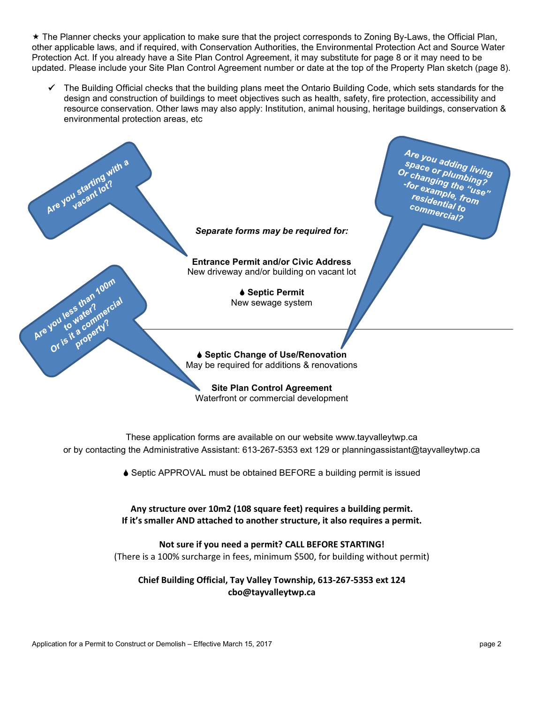The Planner checks your application to make sure that the project corresponds to Zoning By-Laws, the Official Plan, other applicable laws, and if required, with Conservation Authorities, the Environmental Protection Act and Source Water Protection Act. If you already have a Site Plan Control Agreement, it may substitute for page 8 or it may need to be updated. Please include your Site Plan Control Agreement number or date at the top of the Property Plan sketch (page 8).

 The Building Official checks that the building plans meet the Ontario Building Code, which sets standards for the design and construction of buildings to meet objectives such as health, safety, fire protection, accessibility and resource conservation. Other laws may also apply: Institution, animal housing, heritage buildings, conservation & environmental protection areas, etc



These application forms are available on our website www.tayvalleytwp.ca or by contacting the Administrative Assistant: 613-267-5353 ext 129 or planningassistant@tayvalleytwp.ca

♦ Septic APPROVAL must be obtained BEFORE a building permit is issued

### **Any structure over 10m2 (108 square feet) requires a building permit. If it's smaller AND attached to another structure, it also requires a permit.**

**Not sure if you need a permit? CALL BEFORE STARTING!** (There is a 100% surcharge in fees, minimum \$500, for building without permit)

**Chief Building Official, Tay Valley Township, 613-267-5353 ext 124 cbo@tayvalleytwp.ca**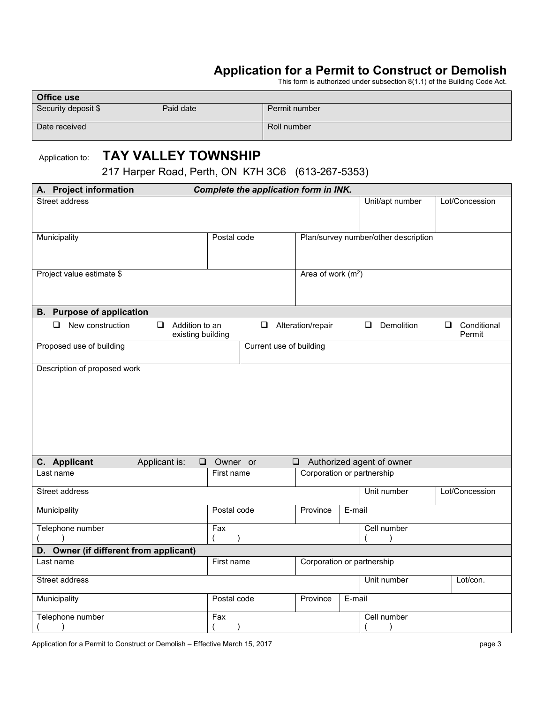# **Application for a Permit to Construct or Demolish**

This form is authorized under subsection 8(1.1) of the Building Code Act.

| <b>Office use</b>   |           |               |  |  |  |  |  |
|---------------------|-----------|---------------|--|--|--|--|--|
| Security deposit \$ | Paid date | Permit number |  |  |  |  |  |
| Date received       |           | Roll number   |  |  |  |  |  |

# Application to: **TAY VALLEY TOWNSHIP**

217 Harper Road, Perth, ON K7H 3C6 (613-267-5353)

| A. Project information                                                      |             | Complete the application form in INK. |                            |        |                                      |   |                       |
|-----------------------------------------------------------------------------|-------------|---------------------------------------|----------------------------|--------|--------------------------------------|---|-----------------------|
| Street address                                                              |             |                                       |                            |        | Unit/apt number                      |   | Lot/Concession        |
| Municipality                                                                | Postal code |                                       |                            |        | Plan/survey number/other description |   |                       |
| Project value estimate \$                                                   |             |                                       | Area of work $(m2)$        |        |                                      |   |                       |
| <b>B.</b> Purpose of application                                            |             |                                       |                            |        |                                      |   |                       |
| $\Box$<br>New construction<br>$\Box$<br>Addition to an<br>existing building |             | ❏                                     | Alteration/repair          |        | Demolition<br>Q                      | ❏ | Conditional<br>Permit |
| Proposed use of building                                                    |             | Current use of building               |                            |        |                                      |   |                       |
|                                                                             |             |                                       |                            |        |                                      |   |                       |
| C. Applicant<br>Applicant is:<br>$\Box$                                     | Owner or    |                                       | Q                          |        | Authorized agent of owner            |   |                       |
| Last name                                                                   | First name  |                                       | Corporation or partnership |        |                                      |   |                       |
| Street address                                                              |             |                                       |                            |        | Unit number                          |   | Lot/Concession        |
| Municipality                                                                | Postal code |                                       | Province                   | E-mail |                                      |   |                       |
| Telephone number                                                            | Fax         |                                       |                            |        | Cell number                          |   |                       |
| D. Owner (if different from applicant)                                      |             |                                       |                            |        |                                      |   |                       |
| Last name                                                                   | First name  |                                       | Corporation or partnership |        |                                      |   |                       |
| Street address                                                              |             |                                       |                            |        | Unit number                          |   | Lot/con.              |
| Municipality                                                                | Postal code |                                       | Province                   | E-mail |                                      |   |                       |
| Telephone number<br>$\lambda$                                               | Fax         |                                       |                            |        | Cell number<br>(                     |   |                       |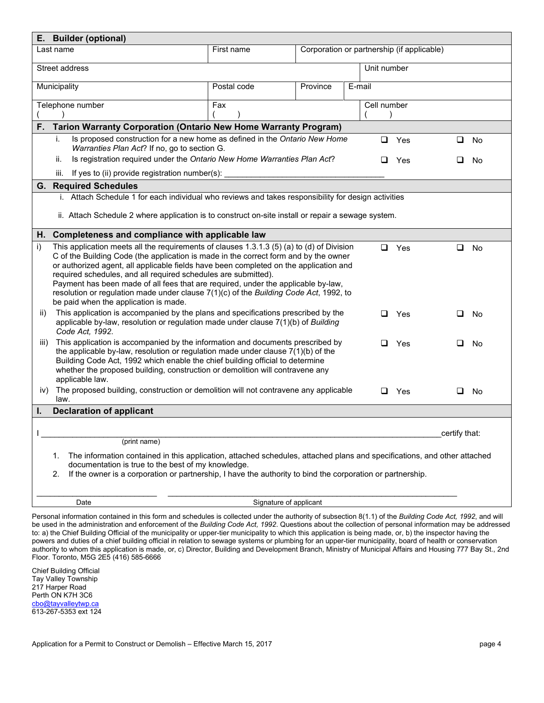| E. Builder (optional)                                                                                                                                                                                                                                                                                                                                                                                                                                                                                                                                                     |                        |                                            |        |        |             |               |    |
|---------------------------------------------------------------------------------------------------------------------------------------------------------------------------------------------------------------------------------------------------------------------------------------------------------------------------------------------------------------------------------------------------------------------------------------------------------------------------------------------------------------------------------------------------------------------------|------------------------|--------------------------------------------|--------|--------|-------------|---------------|----|
| Last name                                                                                                                                                                                                                                                                                                                                                                                                                                                                                                                                                                 | First name             | Corporation or partnership (if applicable) |        |        |             |               |    |
| Street address                                                                                                                                                                                                                                                                                                                                                                                                                                                                                                                                                            |                        |                                            |        |        | Unit number |               |    |
| Municipality                                                                                                                                                                                                                                                                                                                                                                                                                                                                                                                                                              | Postal code            | Province                                   | E-mail |        |             |               |    |
| Telephone number                                                                                                                                                                                                                                                                                                                                                                                                                                                                                                                                                          | Fax                    |                                            |        |        | Cell number |               |    |
| Tarion Warranty Corporation (Ontario New Home Warranty Program)<br>F.                                                                                                                                                                                                                                                                                                                                                                                                                                                                                                     |                        |                                            |        |        |             |               |    |
| Is proposed construction for a new home as defined in the Ontario New Home<br>i.<br>Warranties Plan Act? If no, go to section G.                                                                                                                                                                                                                                                                                                                                                                                                                                          |                        |                                            |        | ❏      | Yes         | ❏             | No |
| Is registration required under the Ontario New Home Warranties Plan Act?<br>ii.                                                                                                                                                                                                                                                                                                                                                                                                                                                                                           |                        |                                            |        | ⊔      | Yes         | ⊔             | No |
| If yes to (ii) provide registration number(s):<br>iii.                                                                                                                                                                                                                                                                                                                                                                                                                                                                                                                    |                        |                                            |        |        |             |               |    |
| <b>Required Schedules</b><br>G.                                                                                                                                                                                                                                                                                                                                                                                                                                                                                                                                           |                        |                                            |        |        |             |               |    |
| i. Attach Schedule 1 for each individual who reviews and takes responsibility for design activities                                                                                                                                                                                                                                                                                                                                                                                                                                                                       |                        |                                            |        |        |             |               |    |
| ii. Attach Schedule 2 where application is to construct on-site install or repair a sewage system.                                                                                                                                                                                                                                                                                                                                                                                                                                                                        |                        |                                            |        |        |             |               |    |
| H. Completeness and compliance with applicable law                                                                                                                                                                                                                                                                                                                                                                                                                                                                                                                        |                        |                                            |        |        |             |               |    |
| This application meets all the requirements of clauses 1.3.1.3 (5) (a) to (d) of Division<br>i)<br>C of the Building Code (the application is made in the correct form and by the owner<br>or authorized agent, all applicable fields have been completed on the application and<br>required schedules, and all required schedules are submitted).<br>Payment has been made of all fees that are required, under the applicable by-law,<br>resolution or regulation made under clause 7(1)(c) of the Building Code Act, 1992, to<br>be paid when the application is made. |                        |                                            |        | $\Box$ | Yes         | $\Box$        | No |
| This application is accompanied by the plans and specifications prescribed by the<br>ii)<br>applicable by-law, resolution or regulation made under clause 7(1)(b) of Building<br>Code Act, 1992.                                                                                                                                                                                                                                                                                                                                                                          |                        |                                            |        | ◻      | Yes         | ⊔             | No |
| This application is accompanied by the information and documents prescribed by<br>III)<br>the applicable by-law, resolution or regulation made under clause $7(1)(b)$ of the<br>Building Code Act, 1992 which enable the chief building official to determine<br>whether the proposed building, construction or demolition will contravene any<br>applicable law.                                                                                                                                                                                                         |                        |                                            |        | ◻      | Yes         | ❏             | No |
| The proposed building, construction or demolition will not contravene any applicable<br>iv)                                                                                                                                                                                                                                                                                                                                                                                                                                                                               |                        |                                            |        | □      | Yes         | O.            | No |
| law.<br><b>Declaration of applicant</b><br>ı.                                                                                                                                                                                                                                                                                                                                                                                                                                                                                                                             |                        |                                            |        |        |             |               |    |
|                                                                                                                                                                                                                                                                                                                                                                                                                                                                                                                                                                           |                        |                                            |        |        |             |               |    |
|                                                                                                                                                                                                                                                                                                                                                                                                                                                                                                                                                                           |                        |                                            |        |        |             | certify that: |    |
| (print name)                                                                                                                                                                                                                                                                                                                                                                                                                                                                                                                                                              |                        |                                            |        |        |             |               |    |
| The information contained in this application, attached schedules, attached plans and specifications, and other attached<br>1.<br>documentation is true to the best of my knowledge.<br>If the owner is a corporation or partnership, I have the authority to bind the corporation or partnership.<br>2.                                                                                                                                                                                                                                                                  |                        |                                            |        |        |             |               |    |
| Date                                                                                                                                                                                                                                                                                                                                                                                                                                                                                                                                                                      | Signature of applicant |                                            |        |        |             |               |    |

Personal information contained in this form and schedules is collected under the authority of subsection 8(1.1) of the *Building Code Act, 1992*, and will be used in the administration and enforcement of the *Building Code Act, 1992*. Questions about the collection of personal information may be addressed to: a) the Chief Building Official of the municipality or upper-tier municipality to which this application is being made, or, b) the inspector having the powers and duties of a chief building official in relation to sewage systems or plumbing for an upper-tier municipality, board of health or conservation authority to whom this application is made, or, c) Director, Building and Development Branch, Ministry of Municipal Affairs and Housing 777 Bay St., 2nd Floor. Toronto, M5G 2E5 (416) 585-6666

Chief Building Official Tay Valley Township 217 Harper Road Perth ON K7H 3C6 [cbo@tayvalleytwp.ca](mailto:cbo@tayvalleytwp.ca) 613-267-5353 ext 124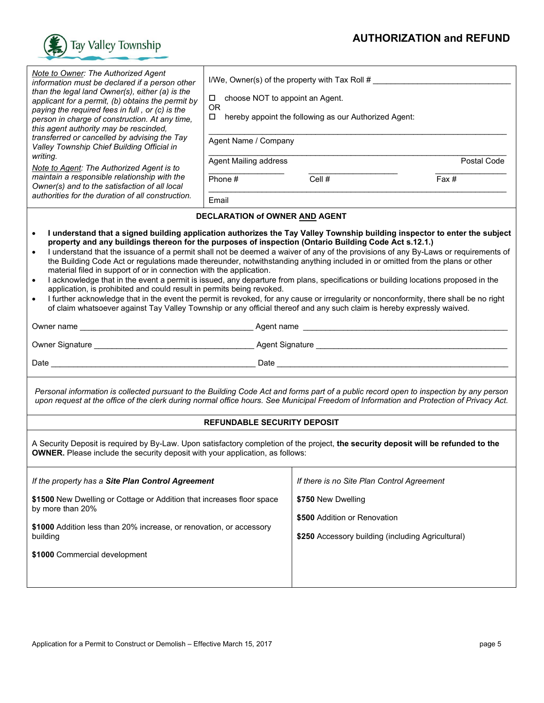

| <b>Note to Owner: The Authorized Agent</b><br>information must be declared if a person other<br>than the legal land Owner(s), either (a) is the<br>applicant for a permit, (b) obtains the permit by<br>paying the required fees in full, or (c) is the<br>person in charge of construction. At any time,<br>this agent authority may be rescinded,<br>transferred or cancelled by advising the Tay<br>Valley Township Chief Building Official in<br>writing.<br>Note to Agent: The Authorized Agent is to<br>maintain a responsible relationship with the<br>Owner(s) and to the satisfaction of all local<br>authorities for the duration of all construction.                                                                                                                                                                                                                                                                                                                                                                                                                                                         | choose NOT to appoint an Agent.<br>$\Box$<br><b>OR</b><br>□<br>Agent Name / Company<br><b>Agent Mailing address</b><br>Phone $#$<br>Email | I/We, Owner(s) of the property with Tax Roll #<br>hereby appoint the following as our Authorized Agent:<br>Cell # | Postal Code<br>Fax # |  |  |  |
|--------------------------------------------------------------------------------------------------------------------------------------------------------------------------------------------------------------------------------------------------------------------------------------------------------------------------------------------------------------------------------------------------------------------------------------------------------------------------------------------------------------------------------------------------------------------------------------------------------------------------------------------------------------------------------------------------------------------------------------------------------------------------------------------------------------------------------------------------------------------------------------------------------------------------------------------------------------------------------------------------------------------------------------------------------------------------------------------------------------------------|-------------------------------------------------------------------------------------------------------------------------------------------|-------------------------------------------------------------------------------------------------------------------|----------------------|--|--|--|
|                                                                                                                                                                                                                                                                                                                                                                                                                                                                                                                                                                                                                                                                                                                                                                                                                                                                                                                                                                                                                                                                                                                          | DECLARATION of OWNER AND AGENT                                                                                                            |                                                                                                                   |                      |  |  |  |
| I understand that a signed building application authorizes the Tay Valley Township building inspector to enter the subject<br>$\bullet$<br>property and any buildings thereon for the purposes of inspection (Ontario Building Code Act s.12.1.)<br>I understand that the issuance of a permit shall not be deemed a waiver of any of the provisions of any By-Laws or requirements of<br>$\bullet$<br>the Building Code Act or regulations made thereunder, notwithstanding anything included in or omitted from the plans or other<br>material filed in support of or in connection with the application.<br>I acknowledge that in the event a permit is issued, any departure from plans, specifications or building locations proposed in the<br>$\bullet$<br>application, is prohibited and could result in permits being revoked.<br>I further acknowledge that in the event the permit is revoked, for any cause or irregularity or nonconformity, there shall be no right<br>$\bullet$<br>of claim whatsoever against Tay Valley Township or any official thereof and any such claim is hereby expressly waived. |                                                                                                                                           |                                                                                                                   |                      |  |  |  |
|                                                                                                                                                                                                                                                                                                                                                                                                                                                                                                                                                                                                                                                                                                                                                                                                                                                                                                                                                                                                                                                                                                                          |                                                                                                                                           |                                                                                                                   |                      |  |  |  |
|                                                                                                                                                                                                                                                                                                                                                                                                                                                                                                                                                                                                                                                                                                                                                                                                                                                                                                                                                                                                                                                                                                                          |                                                                                                                                           |                                                                                                                   |                      |  |  |  |
|                                                                                                                                                                                                                                                                                                                                                                                                                                                                                                                                                                                                                                                                                                                                                                                                                                                                                                                                                                                                                                                                                                                          |                                                                                                                                           |                                                                                                                   |                      |  |  |  |
|                                                                                                                                                                                                                                                                                                                                                                                                                                                                                                                                                                                                                                                                                                                                                                                                                                                                                                                                                                                                                                                                                                                          |                                                                                                                                           |                                                                                                                   |                      |  |  |  |
| Personal information is collected pursuant to the Building Code Act and forms part of a public record open to inspection by any person<br>upon request at the office of the clerk during normal office hours. See Municipal Freedom of Information and Protection of Privacy Act.                                                                                                                                                                                                                                                                                                                                                                                                                                                                                                                                                                                                                                                                                                                                                                                                                                        |                                                                                                                                           |                                                                                                                   |                      |  |  |  |
|                                                                                                                                                                                                                                                                                                                                                                                                                                                                                                                                                                                                                                                                                                                                                                                                                                                                                                                                                                                                                                                                                                                          | <b>REFUNDABLE SECURITY DEPOSIT</b>                                                                                                        |                                                                                                                   |                      |  |  |  |
| A Security Deposit is required by By-Law. Upon satisfactory completion of the project, the security deposit will be refunded to the<br><b>OWNER.</b> Please include the security deposit with your application, as follows:                                                                                                                                                                                                                                                                                                                                                                                                                                                                                                                                                                                                                                                                                                                                                                                                                                                                                              |                                                                                                                                           |                                                                                                                   |                      |  |  |  |
| If the property has a Site Plan Control Agreement                                                                                                                                                                                                                                                                                                                                                                                                                                                                                                                                                                                                                                                                                                                                                                                                                                                                                                                                                                                                                                                                        |                                                                                                                                           | If there is no Site Plan Control Agreement                                                                        |                      |  |  |  |
| \$1500 New Dwelling or Cottage or Addition that increases floor space<br>by more than 20%                                                                                                                                                                                                                                                                                                                                                                                                                                                                                                                                                                                                                                                                                                                                                                                                                                                                                                                                                                                                                                |                                                                                                                                           | \$750 New Dwelling                                                                                                |                      |  |  |  |
| \$1000 Addition less than 20% increase, or renovation, or accessory<br>building                                                                                                                                                                                                                                                                                                                                                                                                                                                                                                                                                                                                                                                                                                                                                                                                                                                                                                                                                                                                                                          |                                                                                                                                           | \$500 Addition or Renovation<br>\$250 Accessory building (including Agricultural)                                 |                      |  |  |  |
| \$1000 Commercial development                                                                                                                                                                                                                                                                                                                                                                                                                                                                                                                                                                                                                                                                                                                                                                                                                                                                                                                                                                                                                                                                                            |                                                                                                                                           |                                                                                                                   |                      |  |  |  |
|                                                                                                                                                                                                                                                                                                                                                                                                                                                                                                                                                                                                                                                                                                                                                                                                                                                                                                                                                                                                                                                                                                                          |                                                                                                                                           |                                                                                                                   |                      |  |  |  |
|                                                                                                                                                                                                                                                                                                                                                                                                                                                                                                                                                                                                                                                                                                                                                                                                                                                                                                                                                                                                                                                                                                                          |                                                                                                                                           |                                                                                                                   |                      |  |  |  |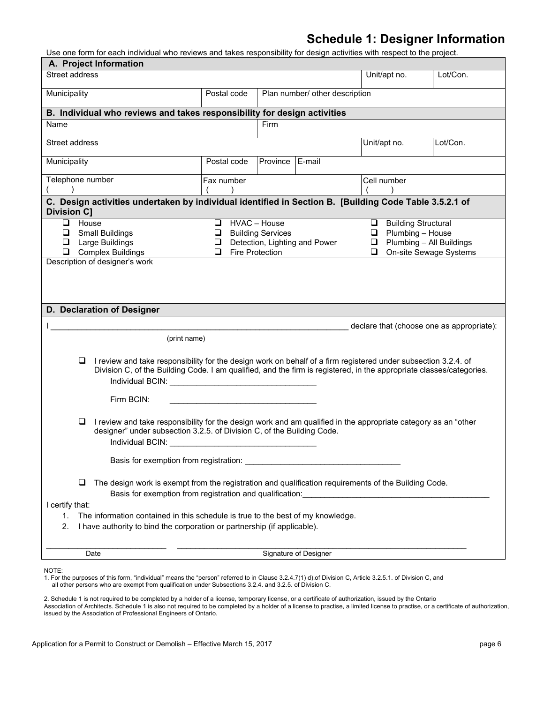### **Schedule 1: Designer Information**

Use one form for each individual who reviews and takes responsibility for design activities with respect to the project.

| A. Project Information                                                                                                                                                                                                                                                                                                                                                                       |             |                                |                       |              |                                           |  |  |  |
|----------------------------------------------------------------------------------------------------------------------------------------------------------------------------------------------------------------------------------------------------------------------------------------------------------------------------------------------------------------------------------------------|-------------|--------------------------------|-----------------------|--------------|-------------------------------------------|--|--|--|
| Street address                                                                                                                                                                                                                                                                                                                                                                               |             |                                |                       | Unit/apt no. | Lot/Con.                                  |  |  |  |
| Municipality                                                                                                                                                                                                                                                                                                                                                                                 | Postal code | Plan number/ other description |                       |              |                                           |  |  |  |
| B. Individual who reviews and takes responsibility for design activities                                                                                                                                                                                                                                                                                                                     |             |                                |                       |              |                                           |  |  |  |
| Name                                                                                                                                                                                                                                                                                                                                                                                         |             | Firm                           |                       |              |                                           |  |  |  |
| Street address                                                                                                                                                                                                                                                                                                                                                                               |             |                                |                       | Unit/apt no. | Lot/Con.                                  |  |  |  |
| Municipality                                                                                                                                                                                                                                                                                                                                                                                 | Postal code | Province E-mail                |                       |              |                                           |  |  |  |
| Telephone number<br>$\overline{\phantom{a}}$                                                                                                                                                                                                                                                                                                                                                 | Fax number  |                                |                       | Cell number  |                                           |  |  |  |
| C. Design activities undertaken by individual identified in Section B. [Building Code Table 3.5.2.1 of<br><b>Division C]</b>                                                                                                                                                                                                                                                                 |             |                                |                       |              |                                           |  |  |  |
| $\Box$ House<br>HVAC - House<br><b>Q</b> Building Structural<br>❏<br>$\Box$ Plumbing - House<br><b>Building Services</b><br>❏<br><b>Small Buildings</b><br>❏<br>$\Box$ Plumbing - All Buildings<br>Large Buildings<br>Detection, Lighting and Power<br>$\Box$<br>⊔<br><b>Complex Buildings</b><br>Fire Protection<br>❏<br>❏<br>On-site Sewage Systems<br>□<br>Description of designer's work |             |                                |                       |              |                                           |  |  |  |
| D. Declaration of Designer                                                                                                                                                                                                                                                                                                                                                                   |             |                                |                       |              |                                           |  |  |  |
|                                                                                                                                                                                                                                                                                                                                                                                              |             |                                |                       |              | declare that (choose one as appropriate): |  |  |  |
| (print name)                                                                                                                                                                                                                                                                                                                                                                                 |             |                                |                       |              |                                           |  |  |  |
| I review and take responsibility for the design work on behalf of a firm registered under subsection 3.2.4. of<br>u.<br>Division C, of the Building Code. I am qualified, and the firm is registered, in the appropriate classes/categories.                                                                                                                                                 |             |                                |                       |              |                                           |  |  |  |
| Firm BCIN:                                                                                                                                                                                                                                                                                                                                                                                   |             |                                |                       |              |                                           |  |  |  |
| I review and take responsibility for the design work and am qualified in the appropriate category as an "other<br>⊔<br>designer" under subsection 3.2.5. of Division C, of the Building Code.                                                                                                                                                                                                |             |                                |                       |              |                                           |  |  |  |
| Basis for exemption from registration:                                                                                                                                                                                                                                                                                                                                                       |             |                                |                       |              |                                           |  |  |  |
| $\Box$<br>The design work is exempt from the registration and qualification requirements of the Building Code.<br>Basis for exemption from registration and qualification:                                                                                                                                                                                                                   |             |                                |                       |              |                                           |  |  |  |
| I certify that:                                                                                                                                                                                                                                                                                                                                                                              |             |                                |                       |              |                                           |  |  |  |
| The information contained in this schedule is true to the best of my knowledge.<br>1.<br>I have authority to bind the corporation or partnership (if applicable).<br>2.                                                                                                                                                                                                                      |             |                                |                       |              |                                           |  |  |  |
|                                                                                                                                                                                                                                                                                                                                                                                              |             |                                |                       |              |                                           |  |  |  |
| Date                                                                                                                                                                                                                                                                                                                                                                                         |             |                                | Signature of Designer |              |                                           |  |  |  |
| NOTE:                                                                                                                                                                                                                                                                                                                                                                                        |             |                                |                       |              |                                           |  |  |  |

1. For the purposes of this form, "individual" means the "person" referred to in Clause 3.2.4.7(1) d).of Division C, Article 3.2.5.1. of Division C, and all other persons who are exempt from qualification under Subsections 3.2.4. and 3.2.5. of Division C.

2. Schedule 1 is not required to be completed by a holder of a license, temporary license, or a certificate of authorization, issued by the Ontario Association of Architects. Schedule 1 is also not required to be completed by a holder of a license to practise, a limited license to practise, or a certificate of authorization, issued by the Association of Professional Engineers of Ontario.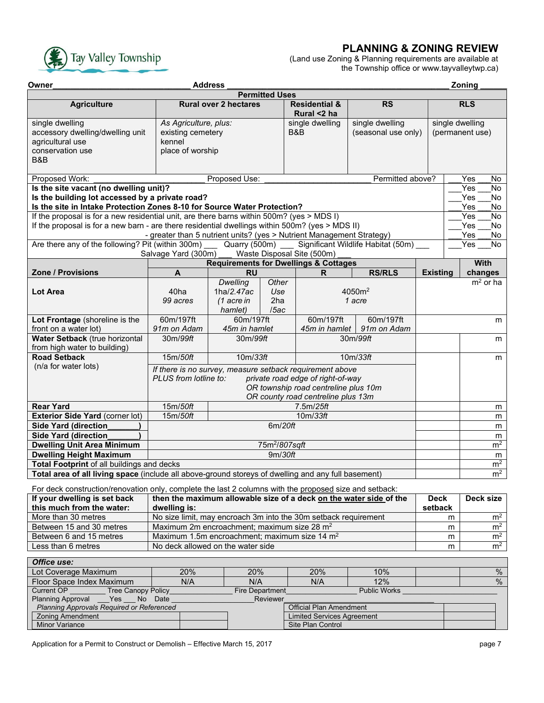### **PLANNING & ZONING REVIEW**



### (Land use Zoning & Planning requirements are available at the Township office or www.tayvalleytwp.ca)

| Owner                                                                                                                                  | <b>Address</b><br>Zoning                                                                                                                                                                     |                                               |                                      |                                                                       |                                    |                 |                                      |  |  |
|----------------------------------------------------------------------------------------------------------------------------------------|----------------------------------------------------------------------------------------------------------------------------------------------------------------------------------------------|-----------------------------------------------|--------------------------------------|-----------------------------------------------------------------------|------------------------------------|-----------------|--------------------------------------|--|--|
|                                                                                                                                        | <b>Permitted Uses</b>                                                                                                                                                                        |                                               |                                      |                                                                       |                                    |                 |                                      |  |  |
| <b>Agriculture</b>                                                                                                                     |                                                                                                                                                                                              | <b>Rural over 2 hectares</b>                  |                                      | <b>Residential &amp;</b><br>Rural <2 ha                               | <b>RS</b>                          |                 | <b>RLS</b>                           |  |  |
| single dwelling                                                                                                                        | As Agriculture, plus:                                                                                                                                                                        |                                               |                                      | single dwelling                                                       | single dwelling                    | single dwelling |                                      |  |  |
| accessory dwelling/dwelling unit                                                                                                       | existing cemetery                                                                                                                                                                            |                                               |                                      | B&B                                                                   | (seasonal use only)                |                 | (permanent use)                      |  |  |
| agricultural use                                                                                                                       | kennel                                                                                                                                                                                       |                                               |                                      |                                                                       |                                    |                 |                                      |  |  |
| conservation use                                                                                                                       | place of worship                                                                                                                                                                             |                                               |                                      |                                                                       |                                    |                 |                                      |  |  |
| B&B                                                                                                                                    |                                                                                                                                                                                              |                                               |                                      |                                                                       |                                    |                 |                                      |  |  |
| Proposed Work:                                                                                                                         |                                                                                                                                                                                              | Proposed Use:                                 |                                      |                                                                       | Permitted above?                   |                 | Yes<br><b>No</b>                     |  |  |
| Is the site vacant (no dwelling unit)?                                                                                                 |                                                                                                                                                                                              |                                               |                                      |                                                                       |                                    |                 | Yes<br><b>No</b>                     |  |  |
| Is the building lot accessed by a private road?                                                                                        |                                                                                                                                                                                              |                                               |                                      |                                                                       |                                    |                 | No<br>Yes<br>Yes<br><b>No</b>        |  |  |
|                                                                                                                                        | Is the site in Intake Protection Zones 8-10 for Source Water Protection?                                                                                                                     |                                               |                                      |                                                                       |                                    |                 |                                      |  |  |
|                                                                                                                                        | If the proposal is for a new residential unit, are there barns within 500m? (yes > MDS I)<br>If the proposal is for a new barn - are there residential dwellings within 500m? (yes > MDS II) |                                               |                                      |                                                                       |                                    |                 |                                      |  |  |
|                                                                                                                                        |                                                                                                                                                                                              |                                               |                                      |                                                                       |                                    |                 | <b>No</b><br>Yes                     |  |  |
| Are there any of the following? Pit (within 300m)                                                                                      |                                                                                                                                                                                              | Quarry (500m)                                 |                                      | - greater than 5 nutrient units? (yes > Nutrient Management Strategy) | Significant Wildlife Habitat (50m) |                 | Yes<br>No.<br>$\overline{Yes}$<br>No |  |  |
|                                                                                                                                        | Salvage Yard (300m)                                                                                                                                                                          |                                               |                                      | Waste Disposal Site (500m)                                            |                                    |                 |                                      |  |  |
|                                                                                                                                        |                                                                                                                                                                                              |                                               |                                      | <b>Requirements for Dwellings &amp; Cottages</b>                      |                                    |                 | <b>With</b>                          |  |  |
| Zone / Provisions                                                                                                                      | A                                                                                                                                                                                            | <b>RU</b>                                     |                                      | R                                                                     | <b>RS/RLS</b>                      | <b>Existing</b> | changes                              |  |  |
|                                                                                                                                        |                                                                                                                                                                                              | <b>Dwelling</b>                               | Other                                |                                                                       |                                    |                 | $m2$ or ha                           |  |  |
| <b>Lot Area</b>                                                                                                                        | 40ha                                                                                                                                                                                         | 1ha/2.47ac                                    | Use                                  |                                                                       | 4050m <sup>2</sup>                 |                 |                                      |  |  |
|                                                                                                                                        | 99 acres                                                                                                                                                                                     | $(1$ acre in                                  | 2ha                                  |                                                                       | 1 acre                             |                 |                                      |  |  |
|                                                                                                                                        |                                                                                                                                                                                              | hamlet)                                       | /5ac                                 |                                                                       |                                    |                 |                                      |  |  |
| Lot Frontage (shoreline is the                                                                                                         | 60m/197ft                                                                                                                                                                                    | 60m/197ft                                     |                                      | 60m/197ft                                                             | 60m/197ft                          |                 |                                      |  |  |
| front on a water lot)                                                                                                                  | 91m on Adam                                                                                                                                                                                  | 45m in hamlet<br>91m on Adam<br>45m in hamlet |                                      |                                                                       |                                    |                 |                                      |  |  |
| Water Setback (true horizontal                                                                                                         | 30m/99ft                                                                                                                                                                                     | 30m/99ft                                      |                                      |                                                                       | 30m/99ft                           |                 | m                                    |  |  |
| from high water to building)                                                                                                           |                                                                                                                                                                                              |                                               |                                      |                                                                       |                                    |                 |                                      |  |  |
| <b>Road Setback</b>                                                                                                                    | 15m/50ft                                                                                                                                                                                     | 10m/33ft                                      |                                      |                                                                       | 10m/33ft                           |                 | m                                    |  |  |
| (n/a for water lots)                                                                                                                   |                                                                                                                                                                                              |                                               |                                      | If there is no survey, measure setback requirement above              |                                    |                 |                                      |  |  |
|                                                                                                                                        | PLUS from lotline to:                                                                                                                                                                        |                                               |                                      | private road edge of right-of-way                                     |                                    |                 |                                      |  |  |
|                                                                                                                                        |                                                                                                                                                                                              |                                               |                                      | OR township road centreline plus 10m                                  |                                    |                 |                                      |  |  |
|                                                                                                                                        |                                                                                                                                                                                              |                                               |                                      | OR county road centreline plus 13m                                    |                                    |                 |                                      |  |  |
| <b>Rear Yard</b>                                                                                                                       | 15m/50ft                                                                                                                                                                                     |                                               |                                      | 7.5m/25ft                                                             |                                    |                 | m                                    |  |  |
| <b>Exterior Side Yard (corner lot)</b>                                                                                                 | 15m/50ft                                                                                                                                                                                     |                                               |                                      | 10m/33ft                                                              |                                    |                 | m                                    |  |  |
| <b>Side Yard (direction)</b>                                                                                                           |                                                                                                                                                                                              |                                               | 6m/20ft                              |                                                                       |                                    |                 | m                                    |  |  |
| <b>Side Yard (direction</b>                                                                                                            |                                                                                                                                                                                              |                                               |                                      |                                                                       |                                    |                 | m                                    |  |  |
| <b>Dwelling Unit Area Minimum</b><br><b>Dwelling Height Maximum</b>                                                                    |                                                                                                                                                                                              |                                               | 75m <sup>2</sup> /807sqft<br>9m/30ft |                                                                       |                                    |                 | m <sup>2</sup>                       |  |  |
| Total Footprint of all buildings and decks                                                                                             |                                                                                                                                                                                              |                                               |                                      |                                                                       |                                    |                 | m<br>m <sup>2</sup>                  |  |  |
| Total area of all living space (include all above-ground storeys of dwelling and any full basement)                                    |                                                                                                                                                                                              |                                               |                                      |                                                                       |                                    |                 | m <sup>2</sup>                       |  |  |
|                                                                                                                                        |                                                                                                                                                                                              |                                               |                                      |                                                                       |                                    |                 |                                      |  |  |
| For deck construction/renovation only, complete the last 2 columns with the proposed size and setback:<br>If your dwelling is set back |                                                                                                                                                                                              |                                               |                                      |                                                                       |                                    | <b>Deck</b>     | Deck size                            |  |  |
| then the maximum allowable size of a deck on the water side of the<br>this much from the water:                                        |                                                                                                                                                                                              |                                               |                                      |                                                                       | setback                            |                 |                                      |  |  |
| More than 30 metres                                                                                                                    | dwelling is:                                                                                                                                                                                 |                                               |                                      |                                                                       | m                                  | m <sup>2</sup>  |                                      |  |  |
| Between 15 and 30 metres                                                                                                               | No size limit, may encroach 3m into the 30m setback requirement<br>Maximum 2m encroachment; maximum size 28 m <sup>2</sup>                                                                   |                                               |                                      |                                                                       | m                                  | m <sup>2</sup>  |                                      |  |  |
| Between 6 and 15 metres                                                                                                                | Maximum 1.5m encroachment; maximum size 14 m <sup>2</sup>                                                                                                                                    |                                               |                                      |                                                                       | m                                  | m <sup>2</sup>  |                                      |  |  |
| Less than 6 metres                                                                                                                     | No deck allowed on the water side                                                                                                                                                            |                                               |                                      |                                                                       | m                                  | m <sup>2</sup>  |                                      |  |  |
|                                                                                                                                        |                                                                                                                                                                                              |                                               |                                      |                                                                       |                                    |                 |                                      |  |  |
| Office use:<br>20%                                                                                                                     |                                                                                                                                                                                              |                                               |                                      |                                                                       |                                    |                 |                                      |  |  |
| Lot Coverage Maximum                                                                                                                   | 20%                                                                                                                                                                                          |                                               |                                      | 20%                                                                   | 10%                                |                 | $\%$                                 |  |  |
| Floor Space Index Maximum<br><b>Current OP</b><br><b>Tree Canopy Policy</b>                                                            | N/A                                                                                                                                                                                          | N/A                                           | Fire Department                      | N/A                                                                   | 12%<br><b>Public Works</b>         |                 | $\frac{0}{0}$                        |  |  |
| <b>Planning Approval</b><br>Yes                                                                                                        | No Date                                                                                                                                                                                      |                                               | Reviewer                             |                                                                       |                                    |                 |                                      |  |  |
| Planning Approvals Required or Referenced                                                                                              |                                                                                                                                                                                              |                                               |                                      | <b>Official Plan Amendment</b>                                        |                                    |                 |                                      |  |  |
| <b>Zoning Amendment</b>                                                                                                                |                                                                                                                                                                                              |                                               |                                      | <b>Limited Services Agreement</b>                                     |                                    |                 |                                      |  |  |
| Minor Variance<br>Site Plan Control                                                                                                    |                                                                                                                                                                                              |                                               |                                      |                                                                       |                                    |                 |                                      |  |  |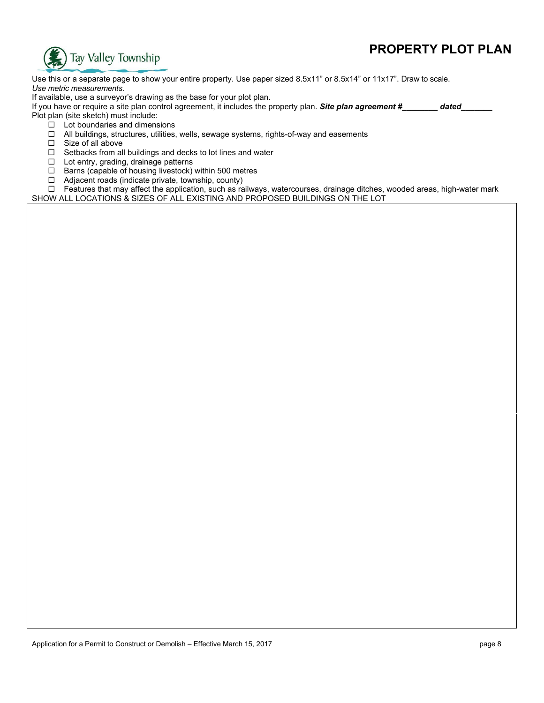# **PROPERTY PLOT PLAN**



Use this or a separate page to show your entire property. Use paper sized 8.5x11" or 8.5x14" or 11x17". Draw to scale. *Use metric measurements*.

If available, use a surveyor's drawing as the base for your plot plan.

If you have or require a site plan control agreement, it includes the property plan. **Site plan agreement #** dated Plot plan (site sketch) must include:

- $\Box$  Lot boundaries and dimensions
- $\Box$  All buildings, structures, utilities, wells, sewage systems, rights-of-way and easements
- $\square$  Size of all above
- $\Box$  Setbacks from all buildings and decks to lot lines and water
- □ Lot entry, grading, drainage patterns
- $\Box$  Barns (capable of housing livestock) within 500 metres
- $\Box$  Adjacent roads (indicate private, township, county)

 Features that may affect the application, such as railways, watercourses, drainage ditches, wooded areas, high-water mark SHOW ALL LOCATIONS & SIZES OF ALL EXISTING AND PROPOSED BUILDINGS ON THE LOT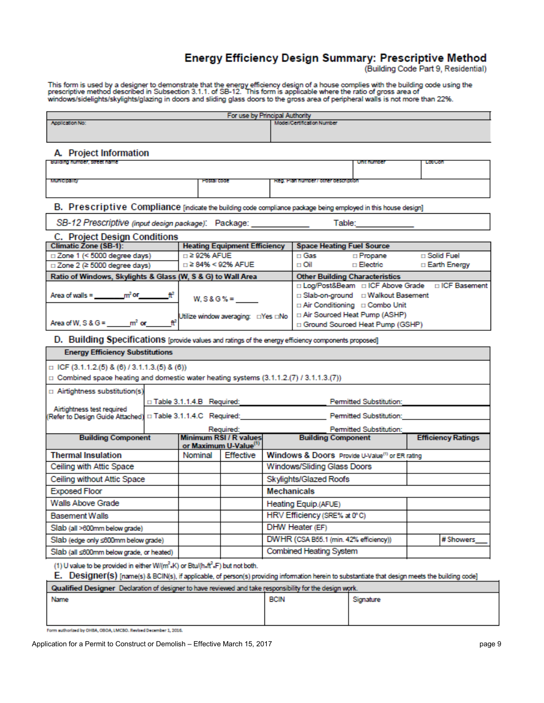# Energy Efficiency Design Summary: Prescriptive Method<br>Building Code Part 9, Residential)

This form is used by a designer to demonstrate that the energy efficiency design of a house complies with the building code using the<br>prescriptive method described in Subsection 3.1.1. of SB-12. This form is applicable whe

| For use by Principal Authority                                                                                                                   |                                                       |                                     |             |                                                                                            |                                     |                                                  |  |  |
|--------------------------------------------------------------------------------------------------------------------------------------------------|-------------------------------------------------------|-------------------------------------|-------------|--------------------------------------------------------------------------------------------|-------------------------------------|--------------------------------------------------|--|--|
| <b>Application No:</b>                                                                                                                           |                                                       |                                     |             | Model/Certification Number                                                                 |                                     |                                                  |  |  |
|                                                                                                                                                  |                                                       |                                     |             |                                                                                            |                                     |                                                  |  |  |
| A. Project Information                                                                                                                           |                                                       |                                     |             |                                                                                            |                                     |                                                  |  |  |
| Building number, street name                                                                                                                     |                                                       |                                     |             |                                                                                            | unit humota                         | Lowczon                                          |  |  |
|                                                                                                                                                  |                                                       |                                     |             |                                                                                            |                                     |                                                  |  |  |
| MUNICIPALITY                                                                                                                                     | FORM CODE                                             |                                     |             | repl. Profilmentar bucardi pendudu                                                         |                                     |                                                  |  |  |
|                                                                                                                                                  |                                                       |                                     |             |                                                                                            |                                     |                                                  |  |  |
| B. Prescriptive Compliance [indicate the building code compliance package being employed in this house design]                                   |                                                       |                                     |             |                                                                                            |                                     |                                                  |  |  |
| SB-12 Prescriptive (input design package): Package: ____________<br>Table: ___________                                                           |                                                       |                                     |             |                                                                                            |                                     |                                                  |  |  |
| C. Project Design Conditions                                                                                                                     |                                                       |                                     |             |                                                                                            |                                     |                                                  |  |  |
| <b>Climatic Zone (SB-1):</b>                                                                                                                     |                                                       | <b>Heating Equipment Efficiency</b> |             | <b>Space Heating Fuel Source</b>                                                           |                                     |                                                  |  |  |
| $\Box$ Zone 1 (< 5000 degree days)                                                                                                               | $\Box$ 2 92% AFUE<br>$\Box$ ≥ 84% < 92% AFUE          |                                     |             | □ Gas<br>□ Oil                                                                             | □ Propane<br>□ Electric             | □ Solid Fuel                                     |  |  |
| □ Zone 2 (≥ 5000 degree days)                                                                                                                    |                                                       |                                     |             |                                                                                            |                                     | □ Earth Energy                                   |  |  |
| Ratio of Windows, Skylights & Glass (W, S & G) to Wall Area                                                                                      |                                                       |                                     |             | <b>Other Building Characteristics</b>                                                      |                                     | □ Log/Post&Beam □ ICF Above Grade □ ICF Basement |  |  |
| Area of walls = $\frac{m^2}{2}$ or $\frac{n^2}{2}$                                                                                               |                                                       | $W. S & G% =$                       |             |                                                                                            | □ Slab-on-ground □ Walkout Basement |                                                  |  |  |
|                                                                                                                                                  |                                                       |                                     |             |                                                                                            | □ Air Conditioning □ Combo Unit     |                                                  |  |  |
|                                                                                                                                                  |                                                       |                                     |             | □ Air Sourced Heat Pump (ASHP)                                                             |                                     |                                                  |  |  |
|                                                                                                                                                  |                                                       |                                     |             |                                                                                            | □ Ground Sourced Heat Pump (GSHP)   |                                                  |  |  |
| D. Building Specifications [provide values and ratings of the energy efficiency components proposed]                                             |                                                       |                                     |             |                                                                                            |                                     |                                                  |  |  |
| <b>Energy Efficiency Substitutions</b>                                                                                                           |                                                       |                                     |             |                                                                                            |                                     |                                                  |  |  |
| $\Box$ ICF (3.1.1.2.(5) & (6) / 3.1.1.3.(5) & (6))                                                                                               |                                                       |                                     |             |                                                                                            |                                     |                                                  |  |  |
| $\Box$ Combined space heating and domestic water heating systems (3.1.1.2.(7) / 3.1.1.3.(7))                                                     |                                                       |                                     |             |                                                                                            |                                     |                                                  |  |  |
| $\Box$ Airtightness substitution(s)                                                                                                              |                                                       |                                     |             |                                                                                            |                                     |                                                  |  |  |
|                                                                                                                                                  | $\Box$ Table 3.1.1.4.B Required:                      |                                     |             | <b>Permitted Substitution:</b>                                                             |                                     |                                                  |  |  |
| Airtightness test required<br>Refer to Design Guide Attached) [ Table 3.1.1.4.C Required: Product Content of Permitted Substitution:             |                                                       |                                     |             |                                                                                            |                                     |                                                  |  |  |
|                                                                                                                                                  |                                                       | Required:                           |             |                                                                                            | Permitted Substitution:             |                                                  |  |  |
| <b>Building Component</b>                                                                                                                        |                                                       | Minimum RSI / R values              |             | <b>Building Component</b>                                                                  |                                     | <b>Efficiency Ratings</b>                        |  |  |
|                                                                                                                                                  |                                                       | or Maximum U-Value <sup>(1)</sup>   |             |                                                                                            |                                     |                                                  |  |  |
| <b>Thermal Insulation</b>                                                                                                                        | Nominal                                               | Effective                           |             | Windows & Doors Provide U-Value <sup>(1)</sup> or ER rating<br>Windows/Sliding Glass Doors |                                     |                                                  |  |  |
| Ceiling with Attic Space                                                                                                                         |                                                       |                                     |             |                                                                                            |                                     |                                                  |  |  |
|                                                                                                                                                  | Ceiling without Attic Space<br>Skylights/Glazed Roofs |                                     |             |                                                                                            |                                     |                                                  |  |  |
|                                                                                                                                                  | <b>Exposed Floor</b><br>Mechanicals                   |                                     |             |                                                                                            |                                     |                                                  |  |  |
| Walls Above Grade<br>Heating Equip.(AFUE)                                                                                                        |                                                       |                                     |             |                                                                                            |                                     |                                                  |  |  |
| HRV Efficiency (SRE% at 0°C)<br><b>Basement Walls</b>                                                                                            |                                                       |                                     |             |                                                                                            |                                     |                                                  |  |  |
| DHW Heater (EF)<br>Slab (all >600mm below grade)                                                                                                 |                                                       |                                     |             |                                                                                            |                                     |                                                  |  |  |
| DWHR (CSA B55.1 (min. 42% efficiency))<br># Showers<br>Slab (edge only ≤600mm below grade)                                                       |                                                       |                                     |             |                                                                                            |                                     |                                                  |  |  |
| Slab (all ≤600mm below grade, or heated)                                                                                                         |                                                       |                                     |             | Combined Heating System                                                                    |                                     |                                                  |  |  |
| (1) U value to be provided in either W/(m <sup>2</sup> .K) or Btu/(h.ft <sup>2</sup> .F) but not both.                                           |                                                       |                                     |             |                                                                                            |                                     |                                                  |  |  |
| E. Designer(s) [name(s) & BCIN(s), if applicable, of person(s) providing information herein to substantiate that design meets the building code] |                                                       |                                     |             |                                                                                            |                                     |                                                  |  |  |
| Qualified Designer Declaration of designer to have reviewed and take responsibility for the design work.                                         |                                                       |                                     |             |                                                                                            |                                     |                                                  |  |  |
| <b>Name</b>                                                                                                                                      |                                                       |                                     | <b>BCIN</b> |                                                                                            | Sionalure                           |                                                  |  |  |

Form suthorized by OHBA, OBOA, LMCBO. Revised December 1, 2016.

Application for a Permit to Construct or Demolish – Effective March 15, 2017 **page 9** page 9